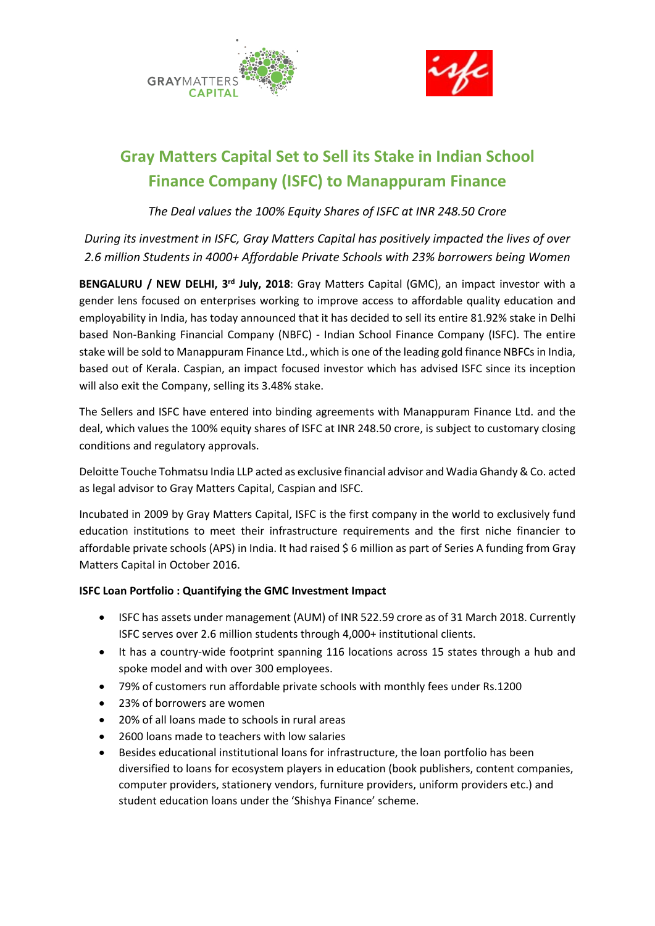



# **Gray Matters Capital Set to Sell its Stake in Indian School Finance Company (ISFC) to Manappuram Finance**

*The Deal values the 100% Equity Shares of ISFC at INR 248.50 Crore*

*During its investment in ISFC, Gray Matters Capital has positively impacted the lives of over 2.6 million Students in 4000+ Affordable Private Schools with 23% borrowers being Women*

**BENGALURU / NEW DELHI, 3rd July, 2018**: [Gray Matters Capital](http://graymatterscap.com/) (GMC), an impact investor with a gender lens focused on enterprises working to improve access to affordable quality education and employability in India, has today announced that it has decided to sell its entire 81.92% stake in Delhi based Non-Banking Financial Company (NBFC) - [Indian School Finance Company](https://isfc.in/) (ISFC). The entire stake will be sold to Manappuram Finance Ltd., which is one of the leading gold finance NBFCs in India, based out of Kerala. Caspian, an impact focused investor which has advised ISFC since its inception will also exit the Company, selling its 3.48% stake.

The Sellers and ISFC have entered into binding agreements with Manappuram Finance Ltd. and the deal, which values the 100% equity shares of ISFC at INR 248.50 crore, is subject to customary closing conditions and regulatory approvals.

Deloitte Touche Tohmatsu India LLP acted as exclusive financial advisor and Wadia Ghandy & Co. acted as legal advisor to Gray Matters Capital, Caspian and ISFC.

Incubated in 2009 by Gray Matters Capital, ISFC is the first company in the world to exclusively fund education institutions to meet their infrastructure requirements and the first niche financier to affordable private schools (APS) in India. It had raised \$ 6 million as part of Series A funding from Gray Matters Capital in October 2016.

## **ISFC Loan Portfolio : Quantifying the GMC Investment Impact**

- ISFC has assets under management (AUM) of INR 522.59 crore as of 31 March 2018. Currently ISFC serves over 2.6 million students through 4,000+ institutional clients.
- It has a country-wide footprint spanning 116 locations across 15 states through a hub and spoke model and with over 300 employees.
- 79% of customers run affordable private schools with monthly fees under Rs.1200
- 23% of borrowers are women
- 20% of all loans made to schools in rural areas
- 2600 loans made to teachers with low salaries
- Besides educational institutional loans for infrastructure, the loan portfolio has been diversified to loans for ecosystem players in education (book publishers, content companies, computer providers, stationery vendors, furniture providers, uniform providers etc.) and student education loans under the 'Shishya Finance' scheme.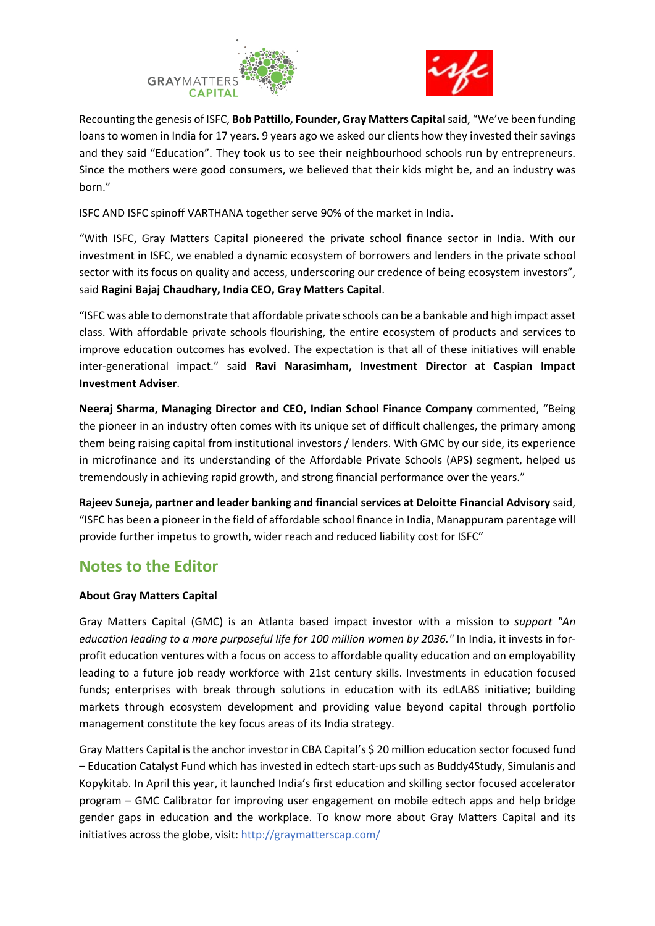



Recounting the genesis of ISFC, **Bob Pattillo, Founder, Gray Matters Capital** said, "We've been funding loans to women in India for 17 years. 9 years ago we asked our clients how they invested their savings and they said "Education". They took us to see their neighbourhood schools run by entrepreneurs. Since the mothers were good consumers, we believed that their kids might be, and an industry was born."

ISFC AND ISFC spinoff VARTHANA together serve 90% of the market in India.

"With ISFC, Gray Matters Capital pioneered the private school finance sector in India. With our investment in ISFC, we enabled a dynamic ecosystem of borrowers and lenders in the private school sector with its focus on quality and access, underscoring our credence of being ecosystem investors", said **Ragini Bajaj Chaudhary, India CEO, Gray Matters Capital**.

"ISFC was able to demonstrate that affordable private schools can be a bankable and high impact asset class. With affordable private schools flourishing, the entire ecosystem of products and services to improve education outcomes has evolved. The expectation is that all of these initiatives will enable inter-generational impact." said **Ravi Narasimham, Investment Director at Caspian Impact Investment Adviser**.

**Neeraj Sharma, Managing Director and CEO, Indian School Finance Company** commented, "Being the pioneer in an industry often comes with its unique set of difficult challenges, the primary among them being raising capital from institutional investors / lenders. With GMC by our side, its experience in microfinance and its understanding of the Affordable Private Schools (APS) segment, helped us tremendously in achieving rapid growth, and strong financial performance over the years."

**Rajeev Suneja, partner and leader banking and financial services at Deloitte Financial Advisory** said, "ISFC has been a pioneer in the field of affordable school finance in India, Manappuram parentage will provide further impetus to growth, wider reach and reduced liability cost for ISFC"

# **Notes to the Editor**

# **About Gray Matters Capital**

Gray Matters Capital (GMC) is an Atlanta based impact investor with a mission to *support "An education leading to a more purposeful life for 100 million women by 2036."* In India, it invests in forprofit education ventures with a focus on access to affordable quality education and on employability leading to a future job ready workforce with 21st century skills. Investments in education focused funds; enterprises with break through solutions in education with its edLABS initiative; building markets through ecosystem development and providing value beyond capital through portfolio management constitute the key focus areas of its India strategy.

Gray Matters Capital is the anchor investor in CBA Capital's \$ 20 million education sector focused fund – Education Catalyst Fund which has invested in edtech start-ups such as Buddy4Study, Simulanis and Kopykitab. In April this year, it launched India's first education and skilling sector focused accelerator program – GMC Calibrator for improving user engagement on mobile edtech apps and help bridge gender gaps in education and the workplace. To know more about Gray Matters Capital and its initiatives across the globe, visit:<http://graymatterscap.com/>